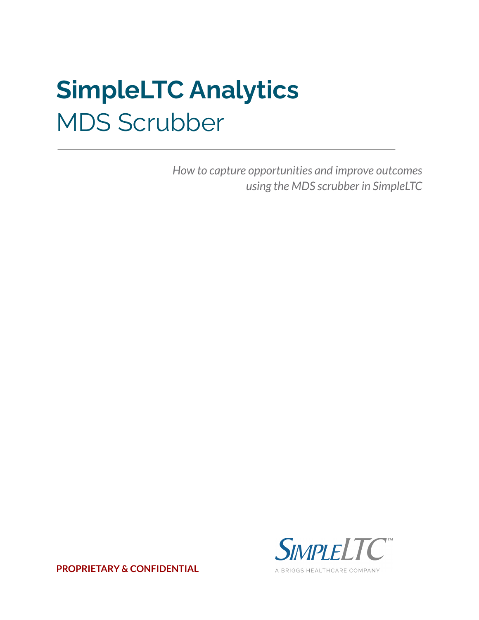# **SimpleLTC Analytics** MDS Scrubber

*How to capture opportunities and improve outcomes using the MDS scrubber in SimpleLTC*



**PROPRIETARY & CONFIDENTIAL**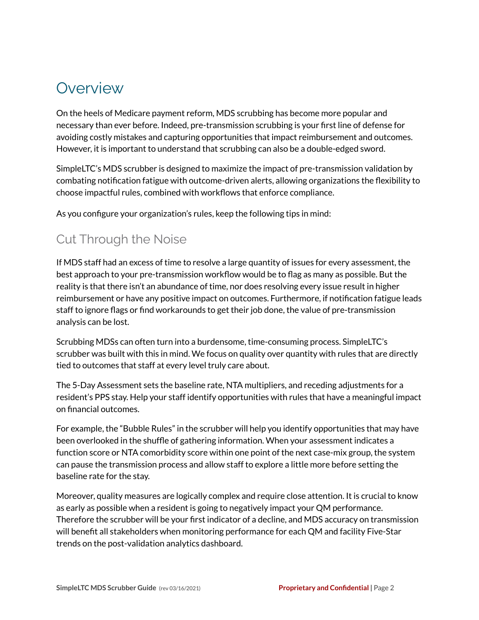## **Overview**

On the heels of Medicare payment reform, MDS scrubbing has become more popular and necessary than ever before. Indeed, pre-transmission scrubbing is your first line of defense for avoiding costly mistakes and capturing opportunities that impact reimbursement and outcomes. However, it is important to understand that scrubbing can also be a double-edged sword.

SimpleLTC's MDS scrubber is designed to maximize the impact of pre-transmission validation by combating notification fatigue with outcome-driven alerts, allowing organizations the flexibility to choose impactful rules, combined with workflows that enforce compliance.

As you configure your organization's rules, keep the following tips in mind:

## Cut Through the Noise

If MDS staff had an excess of time to resolve a large quantity of issues for every assessment, the best approach to your pre-transmission workflow would be to flag as many as possible. But the reality is that there isn't an abundance of time, nor does resolving every issue result in higher reimbursement or have any positive impact on outcomes. Furthermore, if notification fatigue leads staff to ignore flags or find workarounds to get their job done, the value of pre-transmission analysis can be lost.

Scrubbing MDSs can often turn into a burdensome, time-consuming process. SimpleLTC's scrubber was built with this in mind. We focus on quality over quantity with rules that are directly tied to outcomes that staff at every level truly care about.

The 5-Day Assessment sets the baseline rate, NTA multipliers, and receding adjustments for a resident's PPS stay. Help your staff identify opportunities with rules that have a meaningful impact on financial outcomes.

For example, the "Bubble Rules" in the scrubber will help you identify opportunities that may have been overlooked in the shuffle of gathering information. When your assessment indicates a function score or NTA comorbidity score within one point of the next case-mix group, the system can pause the transmission process and allow staff to explore a little more before setting the baseline rate for the stay.

Moreover, quality measures are logically complex and require close attention. It is crucial to know as early as possible when a resident is going to negatively impact your QM performance. Therefore the scrubber will be your first indicator of a decline, and MDS accuracy on transmission will benefit all stakeholders when monitoring performance for each QM and facility Five-Star trends on the post-validation analytics dashboard.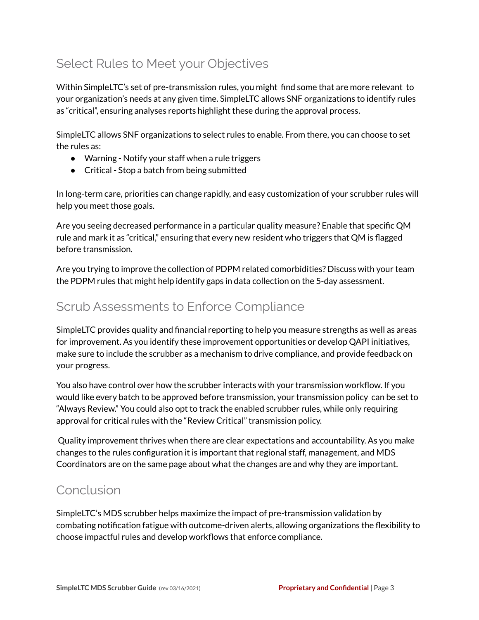## Select Rules to Meet your Objectives

Within SimpleLTC's set of pre-transmission rules, you might find some that are more relevant to your organization's needs at any given time. SimpleLTC allows SNF organizations to identify rules as "critical", ensuring analyses reports highlight these during the approval process.

SimpleLTC allows SNF organizations to select rules to enable. From there, you can choose to set the rules as:

- Warning Notify your staff when a rule triggers
- Critical Stop a batch from being submitted

In long-term care, priorities can change rapidly, and easy customization of your scrubber rules will help you meet those goals.

Are you seeing decreased performance in a particular quality measure? Enable that specific QM rule and mark it as "critical," ensuring that every new resident who triggers that QM is flagged before transmission.

Are you trying to improve the collection of PDPM related comorbidities? Discuss with your team the PDPM rules that might help identify gaps in data collection on the 5-day assessment.

### Scrub Assessments to Enforce Compliance

SimpleLTC provides quality and financial reporting to help you measure strengths as well as areas for improvement. As you identify these improvement opportunities or develop QAPI initiatives, make sure to include the scrubber as a mechanism to drive compliance, and provide feedback on your progress.

You also have control over how the scrubber interacts with your transmission workflow. If you would like every batch to be approved before transmission, your transmission policy can be set to "Always Review." You could also opt to track the enabled scrubber rules, while only requiring approval for critical rules with the "Review Critical" transmission policy.

Quality improvement thrives when there are clear expectations and accountability. As you make changes to the rules configuration it is important that regional staff, management, and MDS Coordinators are on the same page about what the changes are and why they are important.

#### Conclusion

SimpleLTC's MDS scrubber helps maximize the impact of pre-transmission validation by combating notification fatigue with outcome-driven alerts, allowing organizations the flexibility to choose impactful rules and develop workflows that enforce compliance.